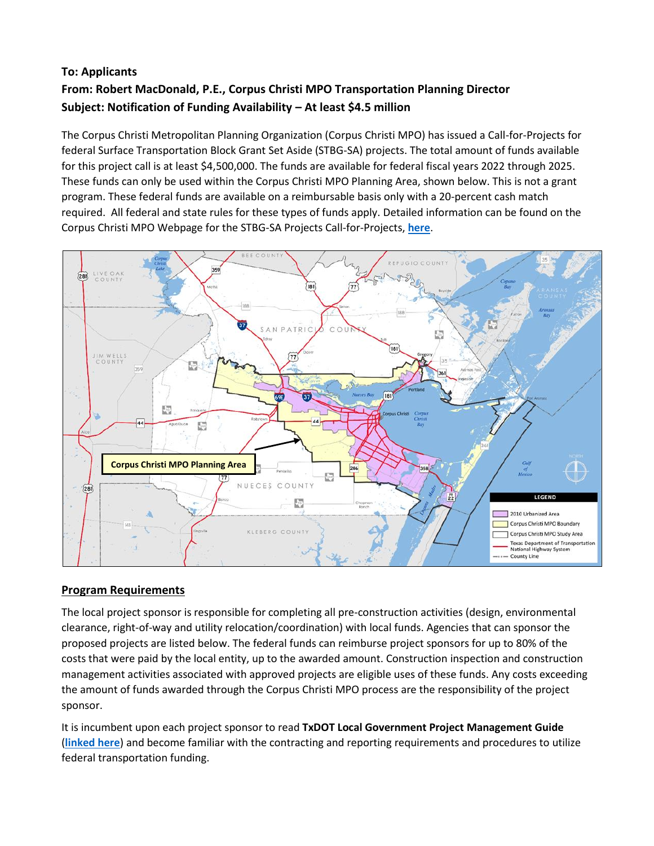# **To: Applicants From: Robert MacDonald, P.E., Corpus Christi MPO Transportation Planning Director Subject: Notification of Funding Availability – At least \$4.5 million**

The Corpus Christi Metropolitan Planning Organization (Corpus Christi MPO) has issued a Call-for-Projects for federal Surface Transportation Block Grant Set Aside (STBG-SA) projects. The total amount of funds available for this project call is at least \$4,500,000. The funds are available for federal fiscal years 2022 through 2025. These funds can only be used within the Corpus Christi MPO Planning Area, shown below. This is not a grant program. These federal funds are available on a reimbursable basis only with a 20-percent cash match required. All federal and state rules for these types of funds apply. Detailed information can be found on the Corpus Christi MPO Webpage for the STBG-SA Projects Call-for-Projects, **[here](https://www.corpuschristi-mpo.org/05_projects_stbg-sa.html)**.



## **Program Requirements**

The local project sponsor is responsible for completing all pre‐construction activities (design, environmental clearance, right‐of‐way and utility relocation/coordination) with local funds. Agencies that can sponsor the proposed projects are listed below. The federal funds can reimburse project sponsors for up to 80% of the costs that were paid by the local entity, up to the awarded amount. Construction inspection and construction management activities associated with approved projects are eligible uses of these funds. Any costs exceeding the amount of funds awarded through the Corpus Christi MPO process are the responsibility of the project sponsor.

It is incumbent upon each project sponsor to read **TxDOT Local Government Project Management Guide** (**[linked here](https://ftp.txdot.gov/pub/txdot/lgp/procedures/guide.pdf)**) and become familiar with the contracting and reporting requirements and procedures to utilize federal transportation funding.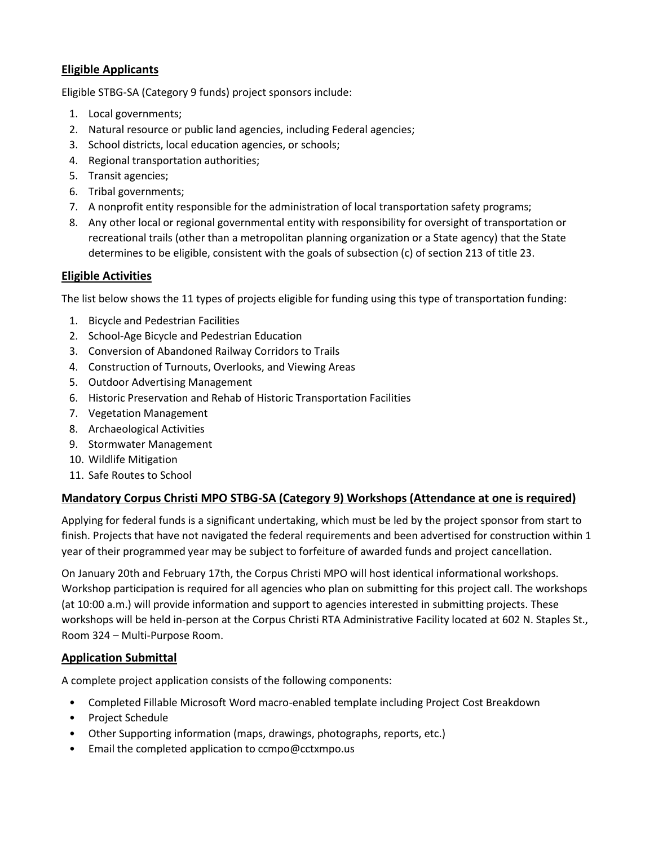### **Eligible Applicants**

Eligible STBG-SA (Category 9 funds) project sponsors include:

- 1. Local governments;
- 2. Natural resource or public land agencies, including Federal agencies;
- 3. School districts, local education agencies, or schools;
- 4. Regional transportation authorities;
- 5. Transit agencies;
- 6. Tribal governments;
- 7. A nonprofit entity responsible for the administration of local transportation safety programs;
- 8. Any other local or regional governmental entity with responsibility for oversight of transportation or recreational trails (other than a metropolitan planning organization or a State agency) that the State determines to be eligible, consistent with the goals of subsection (c) of section 213 of title 23.

#### **Eligible Activities**

The list below shows the 11 types of projects eligible for funding using this type of transportation funding:

- 1. Bicycle and Pedestrian Facilities
- 2. School-Age Bicycle and Pedestrian Education
- 3. Conversion of Abandoned Railway Corridors to Trails
- 4. Construction of Turnouts, Overlooks, and Viewing Areas
- 5. Outdoor Advertising Management
- 6. Historic Preservation and Rehab of Historic Transportation Facilities
- 7. Vegetation Management
- 8. Archaeological Activities
- 9. Stormwater Management
- 10. Wildlife Mitigation
- 11. Safe Routes to School

#### **Mandatory Corpus Christi MPO STBG-SA (Category 9) Workshops (Attendance at one is required)**

Applying for federal funds is a significant undertaking, which must be led by the project sponsor from start to finish. Projects that have not navigated the federal requirements and been advertised for construction within 1 year of their programmed year may be subject to forfeiture of awarded funds and project cancellation.

On January 20th and February 17th, the Corpus Christi MPO will host identical informational workshops. Workshop participation is required for all agencies who plan on submitting for this project call. The workshops (at 10:00 a.m.) will provide information and support to agencies interested in submitting projects. These workshops will be held in-person at the Corpus Christi RTA Administrative Facility located at 602 N. Staples St., Room 324 – Multi-Purpose Room.

#### **Application Submittal**

A complete project application consists of the following components:

- Completed Fillable Microsoft Word macro-enabled template including Project Cost Breakdown
- Project Schedule
- Other Supporting information (maps, drawings, photographs, reports, etc.)
- Email the completed application to ccmpo@cctxmpo.us